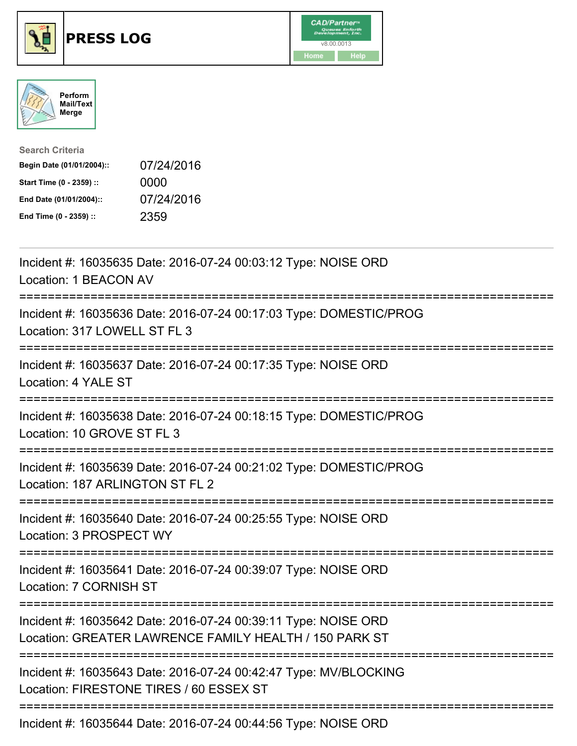





| <b>Search Criteria</b>    |            |
|---------------------------|------------|
| Begin Date (01/01/2004):: | 07/24/2016 |
| Start Time (0 - 2359) ::  | 0000       |
| End Date (01/01/2004)::   | 07/24/2016 |
| End Time (0 - 2359) ::    | 2359       |

| Incident #: 16035635 Date: 2016-07-24 00:03:12 Type: NOISE ORD<br>Location: 1 BEACON AV                                   |
|---------------------------------------------------------------------------------------------------------------------------|
| Incident #: 16035636 Date: 2016-07-24 00:17:03 Type: DOMESTIC/PROG<br>Location: 317 LOWELL ST FL 3                        |
| Incident #: 16035637 Date: 2016-07-24 00:17:35 Type: NOISE ORD<br>Location: 4 YALE ST                                     |
| Incident #: 16035638 Date: 2016-07-24 00:18:15 Type: DOMESTIC/PROG<br>Location: 10 GROVE ST FL 3<br>---------------       |
| Incident #: 16035639 Date: 2016-07-24 00:21:02 Type: DOMESTIC/PROG<br>Location: 187 ARLINGTON ST FL 2<br>---------------- |
| Incident #: 16035640 Date: 2016-07-24 00:25:55 Type: NOISE ORD<br>Location: 3 PROSPECT WY                                 |
| Incident #: 16035641 Date: 2016-07-24 00:39:07 Type: NOISE ORD<br>Location: 7 CORNISH ST                                  |
| Incident #: 16035642 Date: 2016-07-24 00:39:11 Type: NOISE ORD<br>Location: GREATER LAWRENCE FAMILY HEALTH / 150 PARK ST  |
| Incident #: 16035643 Date: 2016-07-24 00:42:47 Type: MV/BLOCKING<br>Location: FIRESTONE TIRES / 60 ESSEX ST               |
| Incident #: 16035644 Date: 2016-07-24 00:44:56 Type: NOISE ORD                                                            |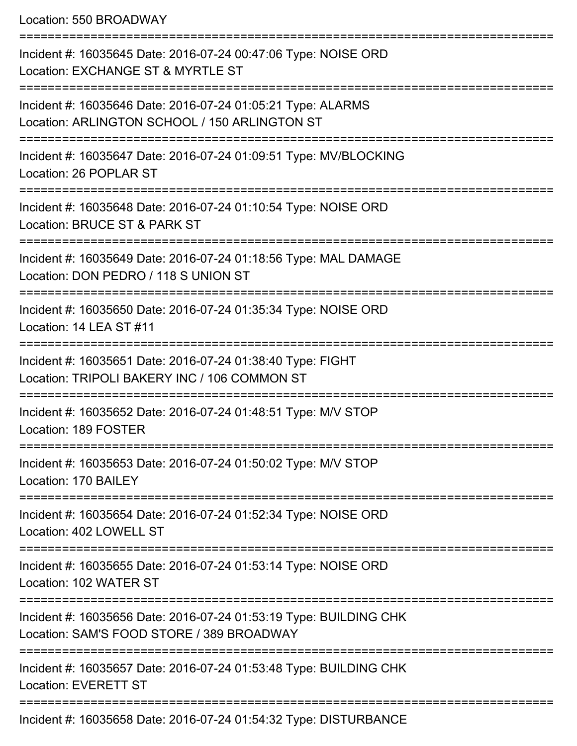Location: 550 BROADWAY

| Incident #: 16035645 Date: 2016-07-24 00:47:06 Type: NOISE ORD<br>Location: EXCHANGE ST & MYRTLE ST            |
|----------------------------------------------------------------------------------------------------------------|
| Incident #: 16035646 Date: 2016-07-24 01:05:21 Type: ALARMS<br>Location: ARLINGTON SCHOOL / 150 ARLINGTON ST   |
| Incident #: 16035647 Date: 2016-07-24 01:09:51 Type: MV/BLOCKING<br>Location: 26 POPLAR ST                     |
| Incident #: 16035648 Date: 2016-07-24 01:10:54 Type: NOISE ORD<br>Location: BRUCE ST & PARK ST                 |
| Incident #: 16035649 Date: 2016-07-24 01:18:56 Type: MAL DAMAGE<br>Location: DON PEDRO / 118 S UNION ST        |
| Incident #: 16035650 Date: 2016-07-24 01:35:34 Type: NOISE ORD<br>Location: 14 LEA ST #11                      |
| Incident #: 16035651 Date: 2016-07-24 01:38:40 Type: FIGHT<br>Location: TRIPOLI BAKERY INC / 106 COMMON ST     |
| Incident #: 16035652 Date: 2016-07-24 01:48:51 Type: M/V STOP<br>Location: 189 FOSTER                          |
| Incident #: 16035653 Date: 2016-07-24 01:50:02 Type: M/V STOP<br>Location: 170 BAILEY                          |
| Incident #: 16035654 Date: 2016-07-24 01:52:34 Type: NOISE ORD<br>Location: 402 LOWELL ST                      |
| Incident #: 16035655 Date: 2016-07-24 01:53:14 Type: NOISE ORD<br>Location: 102 WATER ST                       |
| Incident #: 16035656 Date: 2016-07-24 01:53:19 Type: BUILDING CHK<br>Location: SAM'S FOOD STORE / 389 BROADWAY |
| Incident #: 16035657 Date: 2016-07-24 01:53:48 Type: BUILDING CHK<br><b>Location: EVERETT ST</b>               |
| Incident #: 16035658 Date: 2016-07-24 01:54:32 Type: DISTURBANCE                                               |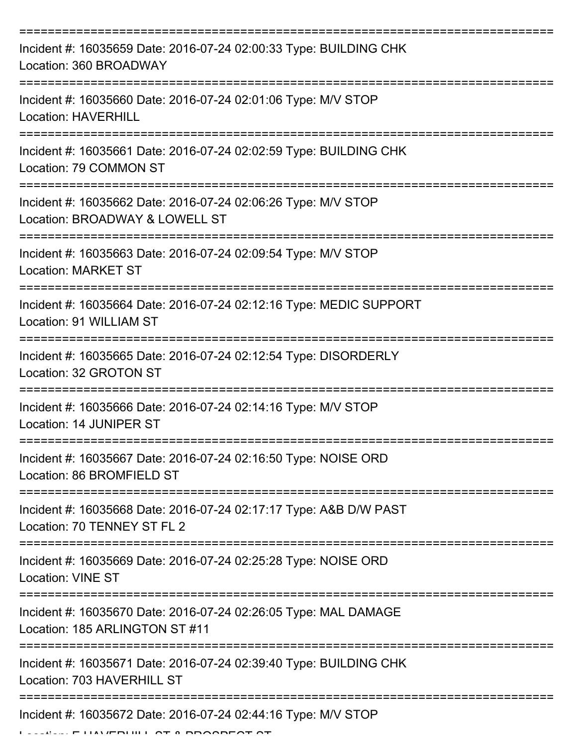| Incident #: 16035659 Date: 2016-07-24 02:00:33 Type: BUILDING CHK<br>Location: 360 BROADWAY                                          |
|--------------------------------------------------------------------------------------------------------------------------------------|
| Incident #: 16035660 Date: 2016-07-24 02:01:06 Type: M/V STOP<br><b>Location: HAVERHILL</b>                                          |
| Incident #: 16035661 Date: 2016-07-24 02:02:59 Type: BUILDING CHK<br>Location: 79 COMMON ST                                          |
| Incident #: 16035662 Date: 2016-07-24 02:06:26 Type: M/V STOP<br>Location: BROADWAY & LOWELL ST                                      |
| Incident #: 16035663 Date: 2016-07-24 02:09:54 Type: M/V STOP<br><b>Location: MARKET ST</b>                                          |
| Incident #: 16035664 Date: 2016-07-24 02:12:16 Type: MEDIC SUPPORT<br>Location: 91 WILLIAM ST                                        |
| Incident #: 16035665 Date: 2016-07-24 02:12:54 Type: DISORDERLY<br>Location: 32 GROTON ST                                            |
| Incident #: 16035666 Date: 2016-07-24 02:14:16 Type: M/V STOP<br>Location: 14 JUNIPER ST                                             |
| Incident #: 16035667 Date: 2016-07-24 02:16:50 Type: NOISE ORD<br>Location: 86 BROMFIELD ST                                          |
| Incident #: 16035668 Date: 2016-07-24 02:17:17 Type: A&B D/W PAST<br>Location: 70 TENNEY ST FL 2                                     |
| Incident #: 16035669 Date: 2016-07-24 02:25:28 Type: NOISE ORD<br><b>Location: VINE ST</b>                                           |
| ;==============================<br>Incident #: 16035670 Date: 2016-07-24 02:26:05 Type: MAL DAMAGE<br>Location: 185 ARLINGTON ST #11 |
| Incident #: 16035671 Date: 2016-07-24 02:39:40 Type: BUILDING CHK<br>Location: 703 HAVERHILL ST                                      |
| Incident #: 16035672 Date: 2016-07-24 02:44:16 Type: M/V STOP                                                                        |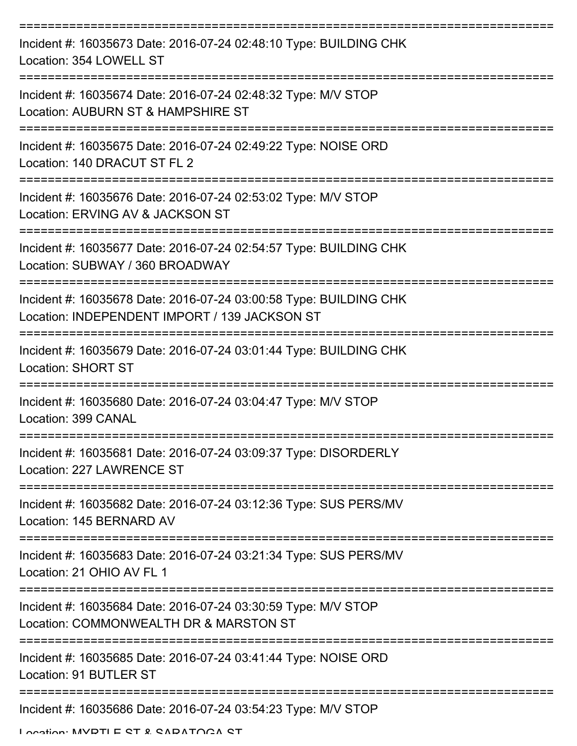| Incident #: 16035673 Date: 2016-07-24 02:48:10 Type: BUILDING CHK<br>Location: 354 LOWELL ST                       |
|--------------------------------------------------------------------------------------------------------------------|
| Incident #: 16035674 Date: 2016-07-24 02:48:32 Type: M/V STOP<br>Location: AUBURN ST & HAMPSHIRE ST                |
| Incident #: 16035675 Date: 2016-07-24 02:49:22 Type: NOISE ORD<br>Location: 140 DRACUT ST FL 2                     |
| Incident #: 16035676 Date: 2016-07-24 02:53:02 Type: M/V STOP<br>Location: ERVING AV & JACKSON ST                  |
| Incident #: 16035677 Date: 2016-07-24 02:54:57 Type: BUILDING CHK<br>Location: SUBWAY / 360 BROADWAY               |
| Incident #: 16035678 Date: 2016-07-24 03:00:58 Type: BUILDING CHK<br>Location: INDEPENDENT IMPORT / 139 JACKSON ST |
| Incident #: 16035679 Date: 2016-07-24 03:01:44 Type: BUILDING CHK<br><b>Location: SHORT ST</b>                     |
| Incident #: 16035680 Date: 2016-07-24 03:04:47 Type: M/V STOP<br>Location: 399 CANAL                               |
| Incident #: 16035681 Date: 2016-07-24 03:09:37 Type: DISORDERLY<br>Location: 227 LAWRENCE ST                       |
| Incident #: 16035682 Date: 2016-07-24 03:12:36 Type: SUS PERS/MV<br>Location: 145 BERNARD AV                       |
| Incident #: 16035683 Date: 2016-07-24 03:21:34 Type: SUS PERS/MV<br>Location: 21 OHIO AV FL 1                      |
| Incident #: 16035684 Date: 2016-07-24 03:30:59 Type: M/V STOP<br>Location: COMMONWEALTH DR & MARSTON ST            |
| Incident #: 16035685 Date: 2016-07-24 03:41:44 Type: NOISE ORD<br>Location: 91 BUTLER ST                           |
| Incident #: 16035686 Date: 2016-07-24 03:54:23 Type: M/V STOP                                                      |

Location: MVDTLE CT & CADATOCA CT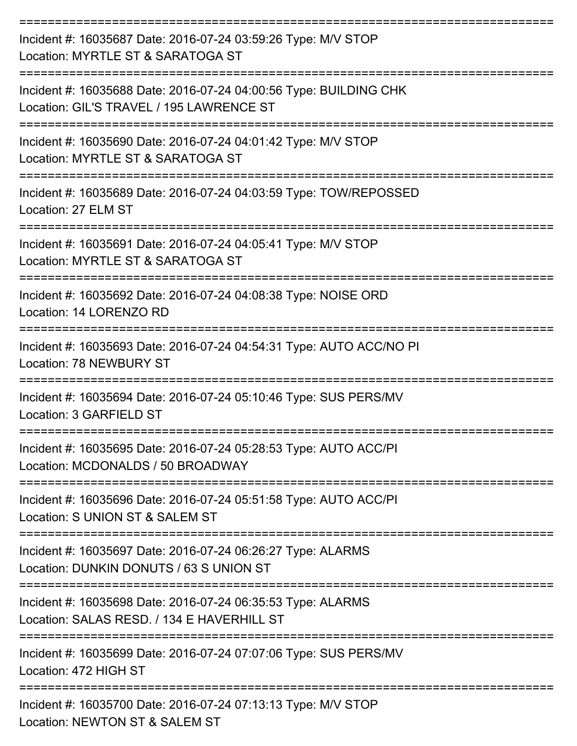| Incident #: 16035687 Date: 2016-07-24 03:59:26 Type: M/V STOP<br>Location: MYRTLE ST & SARATOGA ST                         |
|----------------------------------------------------------------------------------------------------------------------------|
| Incident #: 16035688 Date: 2016-07-24 04:00:56 Type: BUILDING CHK<br>Location: GIL'S TRAVEL / 195 LAWRENCE ST              |
| Incident #: 16035690 Date: 2016-07-24 04:01:42 Type: M/V STOP<br>Location: MYRTLE ST & SARATOGA ST                         |
| Incident #: 16035689 Date: 2016-07-24 04:03:59 Type: TOW/REPOSSED<br>Location: 27 ELM ST<br>------------------------------ |
| Incident #: 16035691 Date: 2016-07-24 04:05:41 Type: M/V STOP<br>Location: MYRTLE ST & SARATOGA ST                         |
| Incident #: 16035692 Date: 2016-07-24 04:08:38 Type: NOISE ORD<br>Location: 14 LORENZO RD                                  |
| Incident #: 16035693 Date: 2016-07-24 04:54:31 Type: AUTO ACC/NO PI<br><b>Location: 78 NEWBURY ST</b>                      |
| Incident #: 16035694 Date: 2016-07-24 05:10:46 Type: SUS PERS/MV<br>Location: 3 GARFIELD ST                                |
| Incident #: 16035695 Date: 2016-07-24 05:28:53 Type: AUTO ACC/PI<br>Location: MCDONALDS / 50 BROADWAY                      |
| Incident #: 16035696 Date: 2016-07-24 05:51:58 Type: AUTO ACC/PI<br>Location: S UNION ST & SALEM ST                        |
| Incident #: 16035697 Date: 2016-07-24 06:26:27 Type: ALARMS<br>Location: DUNKIN DONUTS / 63 S UNION ST                     |
| Incident #: 16035698 Date: 2016-07-24 06:35:53 Type: ALARMS<br>Location: SALAS RESD. / 134 E HAVERHILL ST                  |
| Incident #: 16035699 Date: 2016-07-24 07:07:06 Type: SUS PERS/MV<br>Location: 472 HIGH ST                                  |
| Incident #: 16035700 Date: 2016-07-24 07:13:13 Type: M/V STOP<br>Location: NEWTON ST & SALEM ST                            |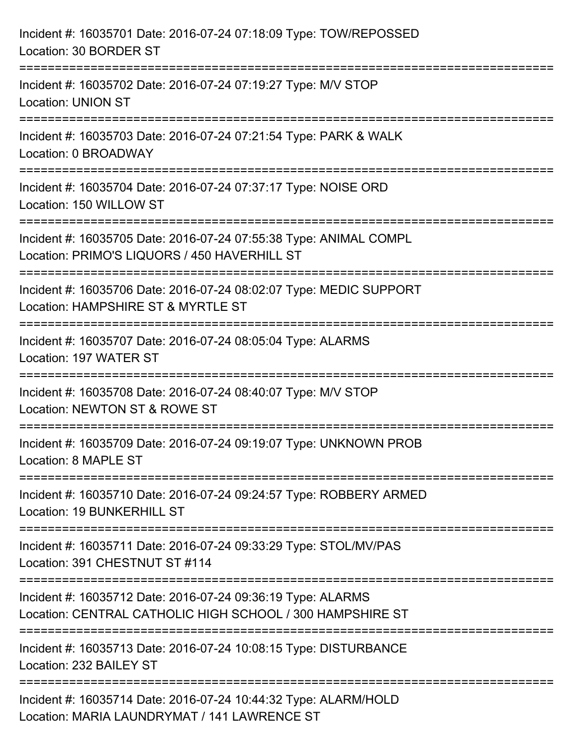| Incident #: 16035701 Date: 2016-07-24 07:18:09 Type: TOW/REPOSSED<br>Location: 30 BORDER ST                                     |
|---------------------------------------------------------------------------------------------------------------------------------|
| Incident #: 16035702 Date: 2016-07-24 07:19:27 Type: M/V STOP<br><b>Location: UNION ST</b>                                      |
| Incident #: 16035703 Date: 2016-07-24 07:21:54 Type: PARK & WALK<br>Location: 0 BROADWAY                                        |
| Incident #: 16035704 Date: 2016-07-24 07:37:17 Type: NOISE ORD<br>Location: 150 WILLOW ST                                       |
| Incident #: 16035705 Date: 2016-07-24 07:55:38 Type: ANIMAL COMPL<br>Location: PRIMO'S LIQUORS / 450 HAVERHILL ST               |
| Incident #: 16035706 Date: 2016-07-24 08:02:07 Type: MEDIC SUPPORT<br>Location: HAMPSHIRE ST & MYRTLE ST<br>=================== |
| Incident #: 16035707 Date: 2016-07-24 08:05:04 Type: ALARMS<br>Location: 197 WATER ST                                           |
| Incident #: 16035708 Date: 2016-07-24 08:40:07 Type: M/V STOP<br>Location: NEWTON ST & ROWE ST                                  |
| Incident #: 16035709 Date: 2016-07-24 09:19:07 Type: UNKNOWN PROB<br>Location: 8 MAPLE ST                                       |
| Incident #: 16035710 Date: 2016-07-24 09:24:57 Type: ROBBERY ARMED<br>Location: 19 BUNKERHILL ST                                |
| Incident #: 16035711 Date: 2016-07-24 09:33:29 Type: STOL/MV/PAS<br>Location: 391 CHESTNUT ST #114                              |
| Incident #: 16035712 Date: 2016-07-24 09:36:19 Type: ALARMS<br>Location: CENTRAL CATHOLIC HIGH SCHOOL / 300 HAMPSHIRE ST        |
| Incident #: 16035713 Date: 2016-07-24 10:08:15 Type: DISTURBANCE<br>Location: 232 BAILEY ST                                     |
| Incident #: 16035714 Date: 2016-07-24 10:44:32 Type: ALARM/HOLD<br>Location: MARIA LAUNDRYMAT / 141 LAWRENCE ST                 |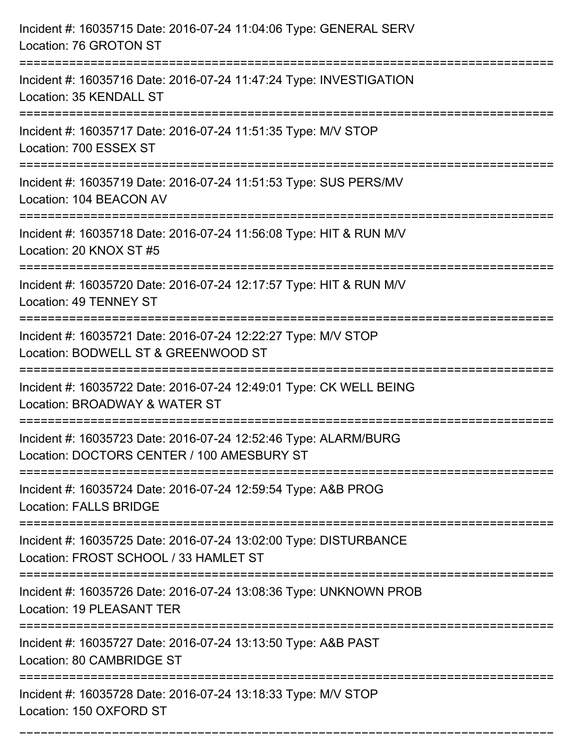| Incident #: 16035715 Date: 2016-07-24 11:04:06 Type: GENERAL SERV<br>Location: 76 GROTON ST                   |
|---------------------------------------------------------------------------------------------------------------|
| Incident #: 16035716 Date: 2016-07-24 11:47:24 Type: INVESTIGATION<br>Location: 35 KENDALL ST                 |
| Incident #: 16035717 Date: 2016-07-24 11:51:35 Type: M/V STOP<br>Location: 700 ESSEX ST                       |
| Incident #: 16035719 Date: 2016-07-24 11:51:53 Type: SUS PERS/MV<br>Location: 104 BEACON AV                   |
| Incident #: 16035718 Date: 2016-07-24 11:56:08 Type: HIT & RUN M/V<br>Location: 20 KNOX ST #5                 |
| Incident #: 16035720 Date: 2016-07-24 12:17:57 Type: HIT & RUN M/V<br>Location: 49 TENNEY ST                  |
| Incident #: 16035721 Date: 2016-07-24 12:22:27 Type: M/V STOP<br>Location: BODWELL ST & GREENWOOD ST          |
| Incident #: 16035722 Date: 2016-07-24 12:49:01 Type: CK WELL BEING<br>Location: BROADWAY & WATER ST           |
| Incident #: 16035723 Date: 2016-07-24 12:52:46 Type: ALARM/BURG<br>Location: DOCTORS CENTER / 100 AMESBURY ST |
| Incident #: 16035724 Date: 2016-07-24 12:59:54 Type: A&B PROG<br><b>Location: FALLS BRIDGE</b>                |
| Incident #: 16035725 Date: 2016-07-24 13:02:00 Type: DISTURBANCE<br>Location: FROST SCHOOL / 33 HAMLET ST     |
| Incident #: 16035726 Date: 2016-07-24 13:08:36 Type: UNKNOWN PROB<br>Location: 19 PLEASANT TER                |
| Incident #: 16035727 Date: 2016-07-24 13:13:50 Type: A&B PAST<br>Location: 80 CAMBRIDGE ST                    |
| Incident #: 16035728 Date: 2016-07-24 13:18:33 Type: M/V STOP<br>Location: 150 OXFORD ST                      |

===========================================================================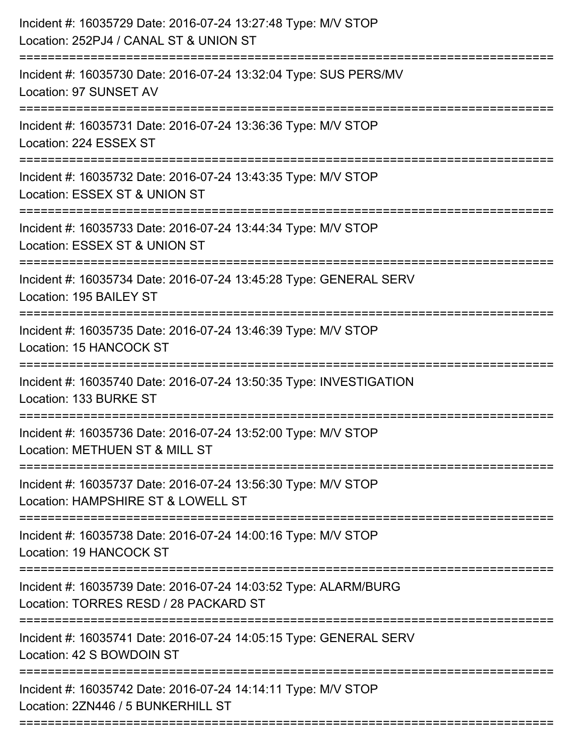| Incident #: 16035729 Date: 2016-07-24 13:27:48 Type: M/V STOP<br>Location: 252PJ4 / CANAL ST & UNION ST<br>========================= |
|--------------------------------------------------------------------------------------------------------------------------------------|
| Incident #: 16035730 Date: 2016-07-24 13:32:04 Type: SUS PERS/MV<br>Location: 97 SUNSET AV                                           |
| Incident #: 16035731 Date: 2016-07-24 13:36:36 Type: M/V STOP<br>Location: 224 ESSEX ST<br>========================                  |
| Incident #: 16035732 Date: 2016-07-24 13:43:35 Type: M/V STOP<br>Location: ESSEX ST & UNION ST                                       |
| Incident #: 16035733 Date: 2016-07-24 13:44:34 Type: M/V STOP<br>Location: ESSEX ST & UNION ST                                       |
| Incident #: 16035734 Date: 2016-07-24 13:45:28 Type: GENERAL SERV<br>Location: 195 BAILEY ST                                         |
| Incident #: 16035735 Date: 2016-07-24 13:46:39 Type: M/V STOP<br>Location: 15 HANCOCK ST<br>------------------------------           |
| Incident #: 16035740 Date: 2016-07-24 13:50:35 Type: INVESTIGATION<br>Location: 133 BURKE ST                                         |
| Incident #: 16035736 Date: 2016-07-24 13:52:00 Type: M/V STOP<br>Location: METHUEN ST & MILL ST                                      |
| Incident #: 16035737 Date: 2016-07-24 13:56:30 Type: M/V STOP<br>Location: HAMPSHIRE ST & LOWELL ST                                  |
| Incident #: 16035738 Date: 2016-07-24 14:00:16 Type: M/V STOP<br>Location: 19 HANCOCK ST                                             |
| Incident #: 16035739 Date: 2016-07-24 14:03:52 Type: ALARM/BURG<br>Location: TORRES RESD / 28 PACKARD ST                             |
| Incident #: 16035741 Date: 2016-07-24 14:05:15 Type: GENERAL SERV<br>Location: 42 S BOWDOIN ST                                       |
| Incident #: 16035742 Date: 2016-07-24 14:14:11 Type: M/V STOP<br>Location: 2ZN446 / 5 BUNKERHILL ST                                  |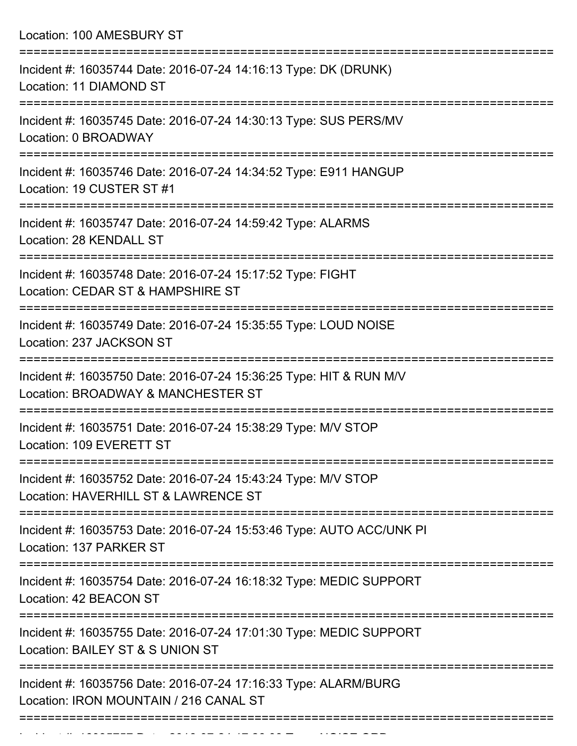Location: 100 AMESBURY ST =========================================================================== Incident #: 16035744 Date: 2016-07-24 14:16:13 Type: DK (DRUNK) Location: 11 DIAMOND ST =========================================================================== Incident #: 16035745 Date: 2016-07-24 14:30:13 Type: SUS PERS/MV Location: 0 BROADWAY =========================================================================== Incident #: 16035746 Date: 2016-07-24 14:34:52 Type: E911 HANGUP Location: 19 CUSTER ST #1 =========================================================================== Incident #: 16035747 Date: 2016-07-24 14:59:42 Type: ALARMS Location: 28 KENDALL ST =========================================================================== Incident #: 16035748 Date: 2016-07-24 15:17:52 Type: FIGHT Location: CEDAR ST & HAMPSHIRE ST =========================================================================== Incident #: 16035749 Date: 2016-07-24 15:35:55 Type: LOUD NOISE Location: 237 JACKSON ST =========================================================================== Incident #: 16035750 Date: 2016-07-24 15:36:25 Type: HIT & RUN M/V Location: BROADWAY & MANCHESTER ST =========================================================================== Incident #: 16035751 Date: 2016-07-24 15:38:29 Type: M/V STOP Location: 109 EVERETT ST =========================================================================== Incident #: 16035752 Date: 2016-07-24 15:43:24 Type: M/V STOP Location: HAVERHILL ST & LAWRENCE ST =========================================================================== Incident #: 16035753 Date: 2016-07-24 15:53:46 Type: AUTO ACC/UNK PI Location: 137 PARKER ST =========================================================================== Incident #: 16035754 Date: 2016-07-24 16:18:32 Type: MEDIC SUPPORT Location: 42 BEACON ST =========================================================================== Incident #: 16035755 Date: 2016-07-24 17:01:30 Type: MEDIC SUPPORT Location: BAILEY ST & S UNION ST =========================================================================== Incident #: 16035756 Date: 2016-07-24 17:16:33 Type: ALARM/BURG Location: IRON MOUNTAIN / 216 CANAL ST ===========================================================================

Incident #: 16035757 Date: 2016 07 24 17:26:03 Type: NOISE ORD.<br>.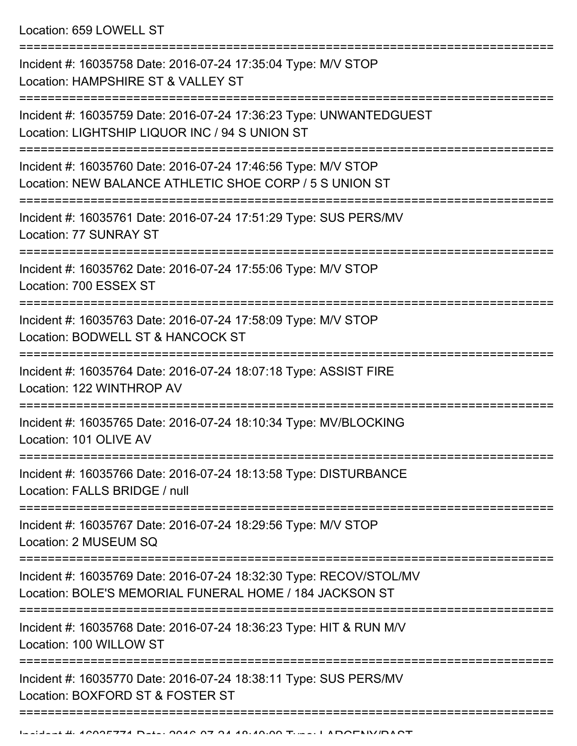Location: 659 LOWELL ST

| Incident #: 16035758 Date: 2016-07-24 17:35:04 Type: M/V STOP<br>Location: HAMPSHIRE ST & VALLEY ST                           |
|-------------------------------------------------------------------------------------------------------------------------------|
| Incident #: 16035759 Date: 2016-07-24 17:36:23 Type: UNWANTEDGUEST<br>Location: LIGHTSHIP LIQUOR INC / 94 S UNION ST          |
| Incident #: 16035760 Date: 2016-07-24 17:46:56 Type: M/V STOP<br>Location: NEW BALANCE ATHLETIC SHOE CORP / 5 S UNION ST      |
| Incident #: 16035761 Date: 2016-07-24 17:51:29 Type: SUS PERS/MV<br>Location: 77 SUNRAY ST<br>==================              |
| Incident #: 16035762 Date: 2016-07-24 17:55:06 Type: M/V STOP<br>Location: 700 ESSEX ST                                       |
| Incident #: 16035763 Date: 2016-07-24 17:58:09 Type: M/V STOP<br>Location: BODWELL ST & HANCOCK ST                            |
| Incident #: 16035764 Date: 2016-07-24 18:07:18 Type: ASSIST FIRE<br>Location: 122 WINTHROP AV                                 |
| Incident #: 16035765 Date: 2016-07-24 18:10:34 Type: MV/BLOCKING<br>Location: 101 OLIVE AV                                    |
| Incident #: 16035766 Date: 2016-07-24 18:13:58 Type: DISTURBANCE<br>Location: FALLS BRIDGE / null                             |
| Incident #: 16035767 Date: 2016-07-24 18:29:56 Type: M/V STOP<br>Location: 2 MUSEUM SQ                                        |
| Incident #: 16035769 Date: 2016-07-24 18:32:30 Type: RECOV/STOL/MV<br>Location: BOLE'S MEMORIAL FUNERAL HOME / 184 JACKSON ST |
| Incident #: 16035768 Date: 2016-07-24 18:36:23 Type: HIT & RUN M/V<br>Location: 100 WILLOW ST                                 |
| Incident #: 16035770 Date: 2016-07-24 18:38:11 Type: SUS PERS/MV<br>Location: BOXFORD ST & FOSTER ST                          |
|                                                                                                                               |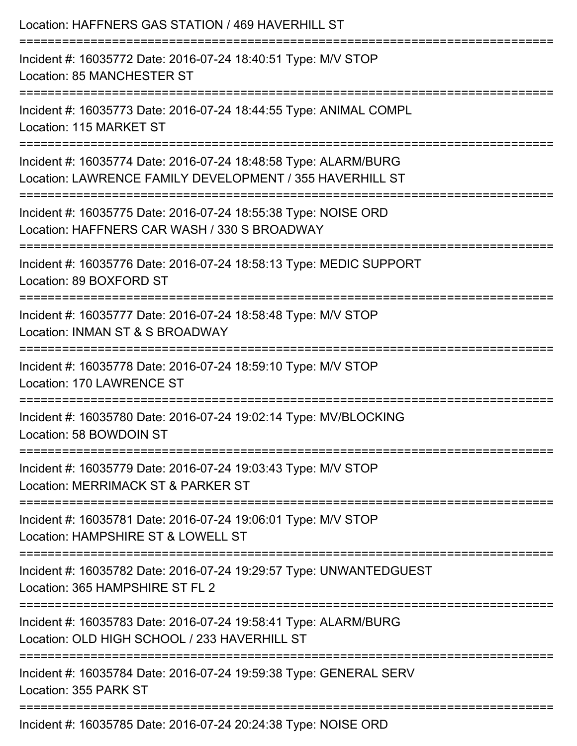| Location: HAFFNERS GAS STATION / 469 HAVERHILL ST                                                                                      |
|----------------------------------------------------------------------------------------------------------------------------------------|
| Incident #: 16035772 Date: 2016-07-24 18:40:51 Type: M/V STOP<br>Location: 85 MANCHESTER ST                                            |
| Incident #: 16035773 Date: 2016-07-24 18:44:55 Type: ANIMAL COMPL<br>Location: 115 MARKET ST                                           |
| Incident #: 16035774 Date: 2016-07-24 18:48:58 Type: ALARM/BURG<br>Location: LAWRENCE FAMILY DEVELOPMENT / 355 HAVERHILL ST            |
| Incident #: 16035775 Date: 2016-07-24 18:55:38 Type: NOISE ORD<br>Location: HAFFNERS CAR WASH / 330 S BROADWAY                         |
| Incident #: 16035776 Date: 2016-07-24 18:58:13 Type: MEDIC SUPPORT<br>Location: 89 BOXFORD ST                                          |
| Incident #: 16035777 Date: 2016-07-24 18:58:48 Type: M/V STOP<br>Location: INMAN ST & S BROADWAY                                       |
| ;======================<br>Incident #: 16035778 Date: 2016-07-24 18:59:10 Type: M/V STOP<br>Location: 170 LAWRENCE ST                  |
| Incident #: 16035780 Date: 2016-07-24 19:02:14 Type: MV/BLOCKING<br>Location: 58 BOWDOIN ST                                            |
| -------------------------------<br>Incident #: 16035779 Date: 2016-07-24 19:03:43 Type: M/V STOP<br>Location: MERRIMACK ST & PARKER ST |
| Incident #: 16035781 Date: 2016-07-24 19:06:01 Type: M/V STOP<br>Location: HAMPSHIRE ST & LOWELL ST                                    |
| Incident #: 16035782 Date: 2016-07-24 19:29:57 Type: UNWANTEDGUEST<br>Location: 365 HAMPSHIRE ST FL 2                                  |
| Incident #: 16035783 Date: 2016-07-24 19:58:41 Type: ALARM/BURG<br>Location: OLD HIGH SCHOOL / 233 HAVERHILL ST                        |
| Incident #: 16035784 Date: 2016-07-24 19:59:38 Type: GENERAL SERV<br>Location: 355 PARK ST                                             |
| Incident $\#$ : 16035785 Date: 2016-07-24 20:24:38 Tyne: NOISE ORD                                                                     |

Incident #: 16035785 Date: 2016-07-24 20:24:38 Type: NOISE ORD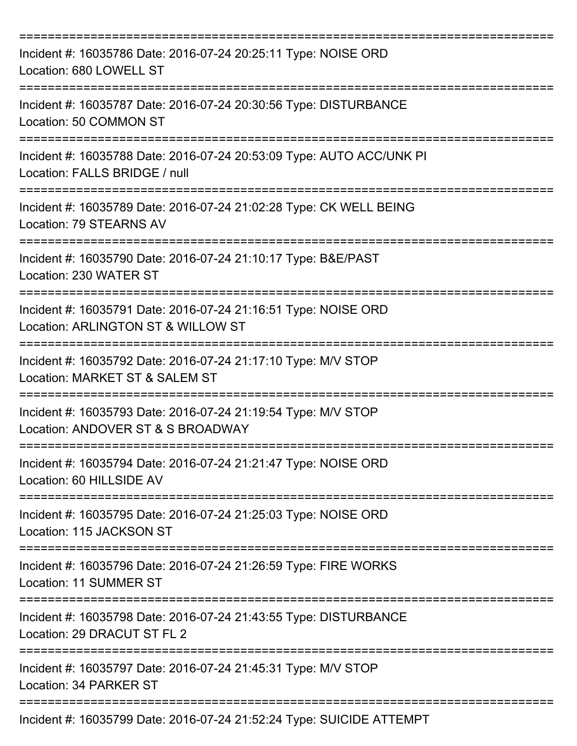| Incident #: 16035786 Date: 2016-07-24 20:25:11 Type: NOISE ORD<br>Location: 680 LOWELL ST             |
|-------------------------------------------------------------------------------------------------------|
| Incident #: 16035787 Date: 2016-07-24 20:30:56 Type: DISTURBANCE<br>Location: 50 COMMON ST            |
| Incident #: 16035788 Date: 2016-07-24 20:53:09 Type: AUTO ACC/UNK PI<br>Location: FALLS BRIDGE / null |
| Incident #: 16035789 Date: 2016-07-24 21:02:28 Type: CK WELL BEING<br>Location: 79 STEARNS AV         |
| Incident #: 16035790 Date: 2016-07-24 21:10:17 Type: B&E/PAST<br>Location: 230 WATER ST               |
| Incident #: 16035791 Date: 2016-07-24 21:16:51 Type: NOISE ORD<br>Location: ARLINGTON ST & WILLOW ST  |
| Incident #: 16035792 Date: 2016-07-24 21:17:10 Type: M/V STOP<br>Location: MARKET ST & SALEM ST       |
| Incident #: 16035793 Date: 2016-07-24 21:19:54 Type: M/V STOP<br>Location: ANDOVER ST & S BROADWAY    |
| Incident #: 16035794 Date: 2016-07-24 21:21:47 Type: NOISE ORD<br>Location: 60 HILLSIDE AV            |
| Incident #: 16035795 Date: 2016-07-24 21:25:03 Type: NOISE ORD<br>Location: 115 JACKSON ST            |
| Incident #: 16035796 Date: 2016-07-24 21:26:59 Type: FIRE WORKS<br>Location: 11 SUMMER ST             |
| Incident #: 16035798 Date: 2016-07-24 21:43:55 Type: DISTURBANCE<br>Location: 29 DRACUT ST FL 2       |
| Incident #: 16035797 Date: 2016-07-24 21:45:31 Type: M/V STOP<br>Location: 34 PARKER ST               |
| Incident #: 16035799 Date: 2016-07-24 21:52:24 Type: SUICIDE ATTEMPT                                  |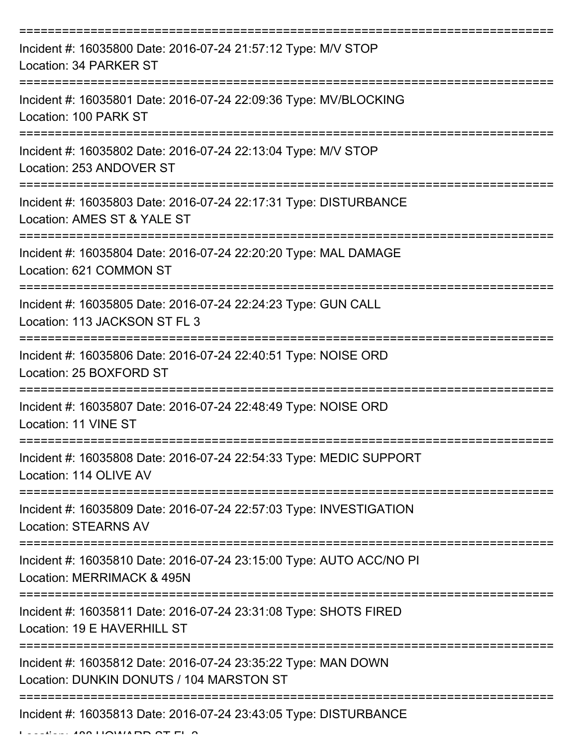| Incident #: 16035800 Date: 2016-07-24 21:57:12 Type: M/V STOP<br>Location: 34 PARKER ST                   |
|-----------------------------------------------------------------------------------------------------------|
| Incident #: 16035801 Date: 2016-07-24 22:09:36 Type: MV/BLOCKING<br>Location: 100 PARK ST                 |
| Incident #: 16035802 Date: 2016-07-24 22:13:04 Type: M/V STOP<br>Location: 253 ANDOVER ST                 |
| Incident #: 16035803 Date: 2016-07-24 22:17:31 Type: DISTURBANCE<br>Location: AMES ST & YALE ST           |
| Incident #: 16035804 Date: 2016-07-24 22:20:20 Type: MAL DAMAGE<br>Location: 621 COMMON ST                |
| Incident #: 16035805 Date: 2016-07-24 22:24:23 Type: GUN CALL<br>Location: 113 JACKSON ST FL 3            |
| Incident #: 16035806 Date: 2016-07-24 22:40:51 Type: NOISE ORD<br>Location: 25 BOXFORD ST                 |
| Incident #: 16035807 Date: 2016-07-24 22:48:49 Type: NOISE ORD<br>Location: 11 VINE ST                    |
| Incident #: 16035808 Date: 2016-07-24 22:54:33 Type: MEDIC SUPPORT<br>Location: 114 OLIVE AV              |
| Incident #: 16035809 Date: 2016-07-24 22:57:03 Type: INVESTIGATION<br><b>Location: STEARNS AV</b>         |
| Incident #: 16035810 Date: 2016-07-24 23:15:00 Type: AUTO ACC/NO PI<br>Location: MERRIMACK & 495N         |
| Incident #: 16035811 Date: 2016-07-24 23:31:08 Type: SHOTS FIRED<br>Location: 19 E HAVERHILL ST           |
| Incident #: 16035812 Date: 2016-07-24 23:35:22 Type: MAN DOWN<br>Location: DUNKIN DONUTS / 104 MARSTON ST |
| Incident #: 16035813 Date: 2016-07-24 23:43:05 Type: DISTURBANCE                                          |